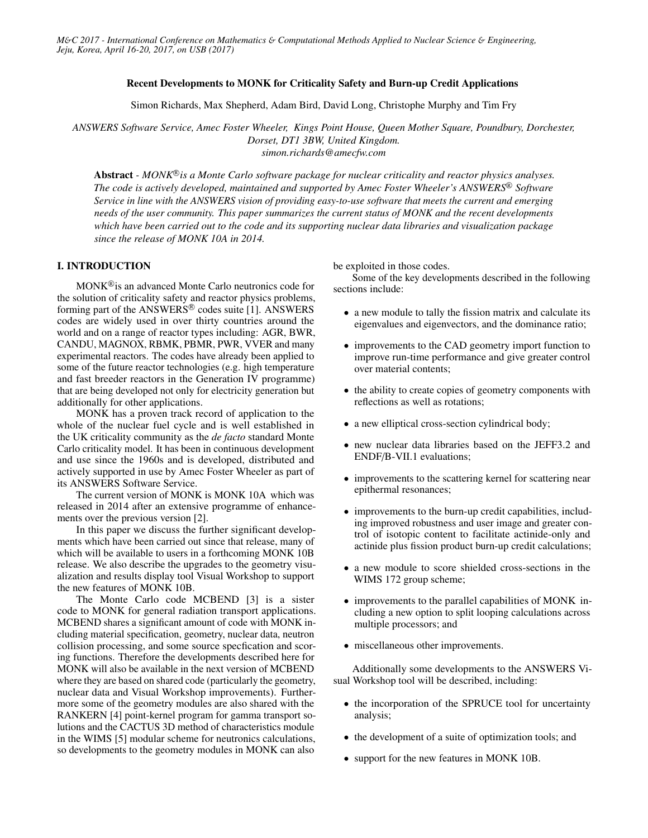### Recent Developments to MONK for Criticality Safety and Burn-up Credit Applications

Simon Richards, Max Shepherd, Adam Bird, David Long, Christophe Murphy and Tim Fry

*ANSWERS Software Service, Amec Foster Wheeler, Kings Point House, Queen Mother Square, Poundbury, Dorchester, Dorset, DT1 3BW, United Kingdom. simon.richards@amecfw.com*

Abstract - MONK<sup>®</sup> is a Monte Carlo software package for nuclear criticality and reactor physics analyses. *The code is actively developed, maintained and supported by Amec Foster Wheeler's ANSWERS* <sup>R</sup> *Software Service in line with the ANSWERS vision of providing easy-to-use software that meets the current and emerging needs of the user community. This paper summarizes the current status of MONK and the recent developments which have been carried out to the code and its supporting nuclear data libraries and visualization package since the release of MONK 10A in 2014.*

# I. INTRODUCTION

MONK <sup>R</sup> is an advanced Monte Carlo neutronics code for the solution of criticality safety and reactor physics problems, forming part of the ANSWERS<sup>®</sup> codes suite [1]. ANSWERS codes are widely used in over thirty countries around the world and on a range of reactor types including: AGR, BWR, CANDU, MAGNOX, RBMK, PBMR, PWR, VVER and many experimental reactors. The codes have already been applied to some of the future reactor technologies (e.g. high temperature and fast breeder reactors in the Generation IV programme) that are being developed not only for electricity generation but additionally for other applications.

MONK has a proven track record of application to the whole of the nuclear fuel cycle and is well established in the UK criticality community as the *de facto* standard Monte Carlo criticality model. It has been in continuous development and use since the 1960s and is developed, distributed and actively supported in use by Amec Foster Wheeler as part of its ANSWERS Software Service.

The current version of MONK is MONK 10A which was released in 2014 after an extensive programme of enhancements over the previous version [2].

In this paper we discuss the further significant developments which have been carried out since that release, many of which will be available to users in a forthcoming MONK 10B release. We also describe the upgrades to the geometry visualization and results display tool Visual Workshop to support the new features of MONK 10B.

The Monte Carlo code MCBEND [3] is a sister code to MONK for general radiation transport applications. MCBEND shares a significant amount of code with MONK including material specification, geometry, nuclear data, neutron collision processing, and some source specfication and scoring functions. Therefore the developments described here for MONK will also be available in the next version of MCBEND where they are based on shared code (particularly the geometry, nuclear data and Visual Workshop improvements). Furthermore some of the geometry modules are also shared with the RANKERN [4] point-kernel program for gamma transport solutions and the CACTUS 3D method of characteristics module in the WIMS [5] modular scheme for neutronics calculations, so developments to the geometry modules in MONK can also

be exploited in those codes.

Some of the key developments described in the following sections include:

- a new module to tally the fission matrix and calculate its eigenvalues and eigenvectors, and the dominance ratio;
- improvements to the CAD geometry import function to improve run-time performance and give greater control over material contents;
- the ability to create copies of geometry components with reflections as well as rotations;
- a new elliptical cross-section cylindrical body;
- new nuclear data libraries based on the JEFF3.2 and ENDF/B-VII.1 evaluations;
- improvements to the scattering kernel for scattering near epithermal resonances;
- improvements to the burn-up credit capabilities, including improved robustness and user image and greater control of isotopic content to facilitate actinide-only and actinide plus fission product burn-up credit calculations;
- a new module to score shielded cross-sections in the WIMS 172 group scheme;
- improvements to the parallel capabilities of MONK including a new option to split looping calculations across multiple processors; and
- miscellaneous other improvements.

Additionally some developments to the ANSWERS Visual Workshop tool will be described, including:

- the incorporation of the SPRUCE tool for uncertainty analysis;
- the development of a suite of optimization tools; and
- support for the new features in MONK 10B.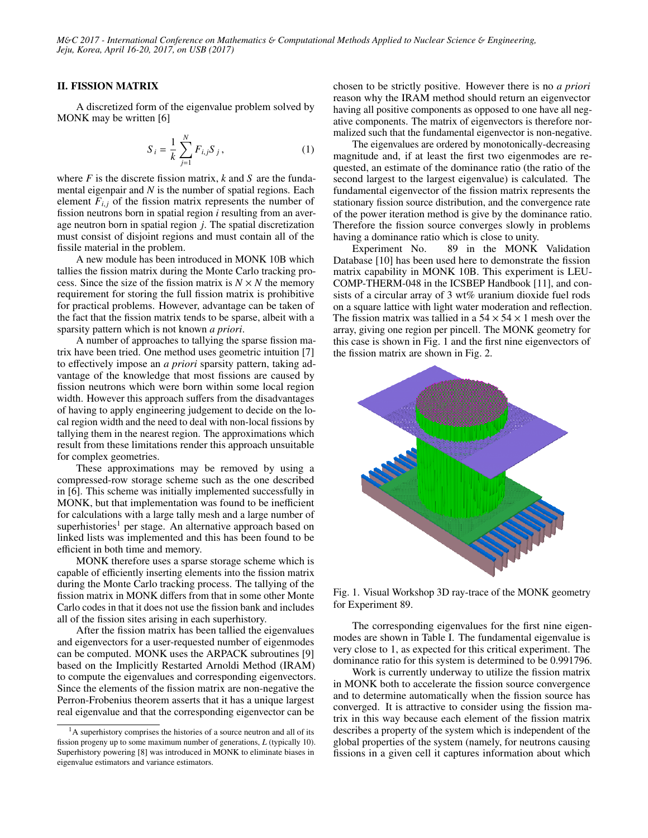#### II. FISSION MATRIX

A discretized form of the eigenvalue problem solved by MONK may be written [6]

$$
S_i = \frac{1}{k} \sum_{j=1}^{N} F_{i,j} S_j, \qquad (1)
$$

where *F* is the discrete fission matrix, *k* and *S* are the fundamental eigenpair and *N* is the number of spatial regions. Each element  $F_{i,j}$  of the fission matrix represents the number of fission neutrons born in spatial region *i* resulting from an average neutron born in spatial region *j*. The spatial discretization must consist of disjoint regions and must contain all of the fissile material in the problem.

A new module has been introduced in MONK 10B which tallies the fission matrix during the Monte Carlo tracking process. Since the size of the fission matrix is  $N \times N$  the memory requirement for storing the full fission matrix is prohibitive for practical problems. However, advantage can be taken of the fact that the fission matrix tends to be sparse, albeit with a sparsity pattern which is not known *a priori*.

A number of approaches to tallying the sparse fission matrix have been tried. One method uses geometric intuition [7] to effectively impose an *a priori* sparsity pattern, taking advantage of the knowledge that most fissions are caused by fission neutrons which were born within some local region width. However this approach suffers from the disadvantages of having to apply engineering judgement to decide on the local region width and the need to deal with non-local fissions by tallying them in the nearest region. The approximations which result from these limitations render this approach unsuitable for complex geometries.

These approximations may be removed by using a compressed-row storage scheme such as the one described in [6]. This scheme was initially implemented successfully in MONK, but that implementation was found to be inefficient for calculations with a large tally mesh and a large number of superhistories<sup>1</sup> per stage. An alternative approach based on linked lists was implemented and this has been found to be efficient in both time and memory.

MONK therefore uses a sparse storage scheme which is capable of efficiently inserting elements into the fission matrix during the Monte Carlo tracking process. The tallying of the fission matrix in MONK differs from that in some other Monte Carlo codes in that it does not use the fission bank and includes all of the fission sites arising in each superhistory.

After the fission matrix has been tallied the eigenvalues and eigenvectors for a user-requested number of eigenmodes can be computed. MONK uses the ARPACK subroutines [9] based on the Implicitly Restarted Arnoldi Method (IRAM) to compute the eigenvalues and corresponding eigenvectors. Since the elements of the fission matrix are non-negative the Perron-Frobenius theorem asserts that it has a unique largest real eigenvalue and that the corresponding eigenvector can be

chosen to be strictly positive. However there is no *a priori* reason why the IRAM method should return an eigenvector having all positive components as opposed to one have all negative components. The matrix of eigenvectors is therefore normalized such that the fundamental eigenvector is non-negative.

The eigenvalues are ordered by monotonically-decreasing magnitude and, if at least the first two eigenmodes are requested, an estimate of the dominance ratio (the ratio of the second largest to the largest eigenvalue) is calculated. The fundamental eigenvector of the fission matrix represents the stationary fission source distribution, and the convergence rate of the power iteration method is give by the dominance ratio. Therefore the fission source converges slowly in problems having a dominance ratio which is close to unity.

Experiment No. 89 in the MONK Validation Database [10] has been used here to demonstrate the fission matrix capability in MONK 10B. This experiment is LEU-COMP-THERM-048 in the ICSBEP Handbook [11], and consists of a circular array of 3 wt% uranium dioxide fuel rods on a square lattice with light water moderation and reflection. The fission matrix was tallied in a  $54 \times 54 \times 1$  mesh over the array, giving one region per pincell. The MONK geometry for this case is shown in Fig. 1 and the first nine eigenvectors of the fission matrix are shown in Fig. 2.



Fig. 1. Visual Workshop 3D ray-trace of the MONK geometry for Experiment 89.

The corresponding eigenvalues for the first nine eigenmodes are shown in Table I. The fundamental eigenvalue is very close to 1, as expected for this critical experiment. The dominance ratio for this system is determined to be 0.991796.

Work is currently underway to utilize the fission matrix in MONK both to accelerate the fission source convergence and to determine automatically when the fission source has converged. It is attractive to consider using the fission matrix in this way because each element of the fission matrix describes a property of the system which is independent of the global properties of the system (namely, for neutrons causing fissions in a given cell it captures information about which

 $<sup>1</sup>A$  superhistory comprises the histories of a source neutron and all of its</sup> fission progeny up to some maximum number of generations, *L* (typically 10). Superhistory powering [8] was introduced in MONK to eliminate biases in eigenvalue estimators and variance estimators.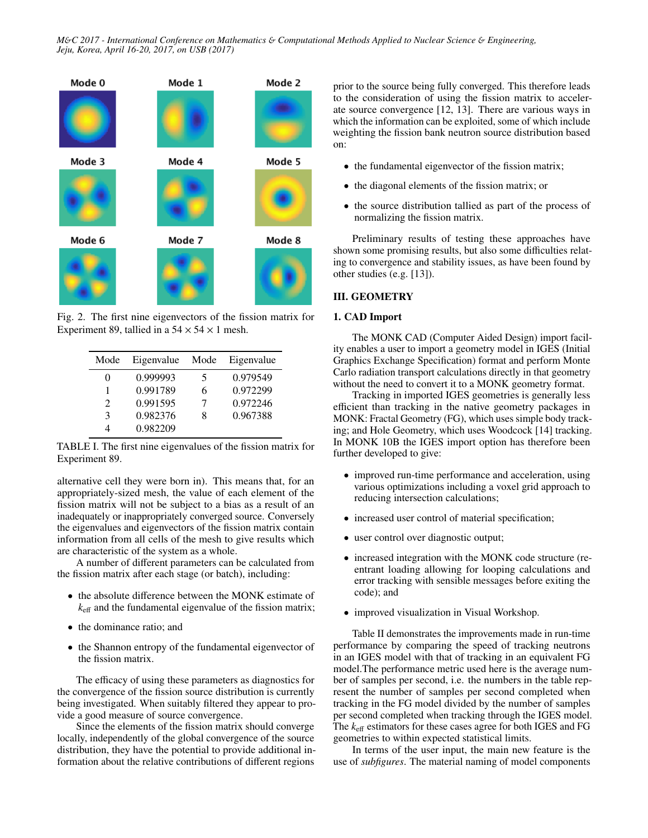

Fig. 2. The first nine eigenvectors of the fission matrix for Experiment 89, tallied in a  $54 \times 54 \times 1$  mesh.

| Mode                        | Eigenvalue | Mode | Eigenvalue |
|-----------------------------|------------|------|------------|
| $\mathbf{\Omega}$           | 0.999993   | 5    | 0.979549   |
|                             | 0.991789   | 6    | 0.972299   |
| $\mathcal{D}_{\mathcal{L}}$ | 0.991595   |      | 0.972246   |
| 3                           | 0.982376   | Ջ    | 0.967388   |
|                             | 0.982209   |      |            |

TABLE I. The first nine eigenvalues of the fission matrix for Experiment 89.

alternative cell they were born in). This means that, for an appropriately-sized mesh, the value of each element of the fission matrix will not be subject to a bias as a result of an inadequately or inappropriately converged source. Conversely the eigenvalues and eigenvectors of the fission matrix contain information from all cells of the mesh to give results which are characteristic of the system as a whole.

A number of different parameters can be calculated from the fission matrix after each stage (or batch), including:

- the absolute difference between the MONK estimate of  $k_{\text{eff}}$  and the fundamental eigenvalue of the fission matrix;
- the dominance ratio; and
- the Shannon entropy of the fundamental eigenvector of the fission matrix.

The efficacy of using these parameters as diagnostics for the convergence of the fission source distribution is currently being investigated. When suitably filtered they appear to provide a good measure of source convergence.

Since the elements of the fission matrix should converge locally, independently of the global convergence of the source distribution, they have the potential to provide additional information about the relative contributions of different regions

prior to the source being fully converged. This therefore leads to the consideration of using the fission matrix to accelerate source convergence [12, 13]. There are various ways in which the information can be exploited, some of which include weighting the fission bank neutron source distribution based on:

- the fundamental eigenvector of the fission matrix;
- the diagonal elements of the fission matrix; or
- the source distribution tallied as part of the process of normalizing the fission matrix.

Preliminary results of testing these approaches have shown some promising results, but also some difficulties relating to convergence and stability issues, as have been found by other studies (e.g. [13]).

# III. GEOMETRY

### 1. CAD Import

The MONK CAD (Computer Aided Design) import facility enables a user to import a geometry model in IGES (Initial Graphics Exchange Specification) format and perform Monte Carlo radiation transport calculations directly in that geometry without the need to convert it to a MONK geometry format.

Tracking in imported IGES geometries is generally less efficient than tracking in the native geometry packages in MONK: Fractal Geometry (FG), which uses simple body tracking; and Hole Geometry, which uses Woodcock [14] tracking. In MONK 10B the IGES import option has therefore been further developed to give:

- improved run-time performance and acceleration, using various optimizations including a voxel grid approach to reducing intersection calculations;
- increased user control of material specification;
- user control over diagnostic output;
- increased integration with the MONK code structure (reentrant loading allowing for looping calculations and error tracking with sensible messages before exiting the code); and
- improved visualization in Visual Workshop.

Table II demonstrates the improvements made in run-time performance by comparing the speed of tracking neutrons in an IGES model with that of tracking in an equivalent FG model.The performance metric used here is the average number of samples per second, i.e. the numbers in the table represent the number of samples per second completed when tracking in the FG model divided by the number of samples per second completed when tracking through the IGES model. The *k*eff estimators for these cases agree for both IGES and FG geometries to within expected statistical limits.

In terms of the user input, the main new feature is the use of *subfigures*. The material naming of model components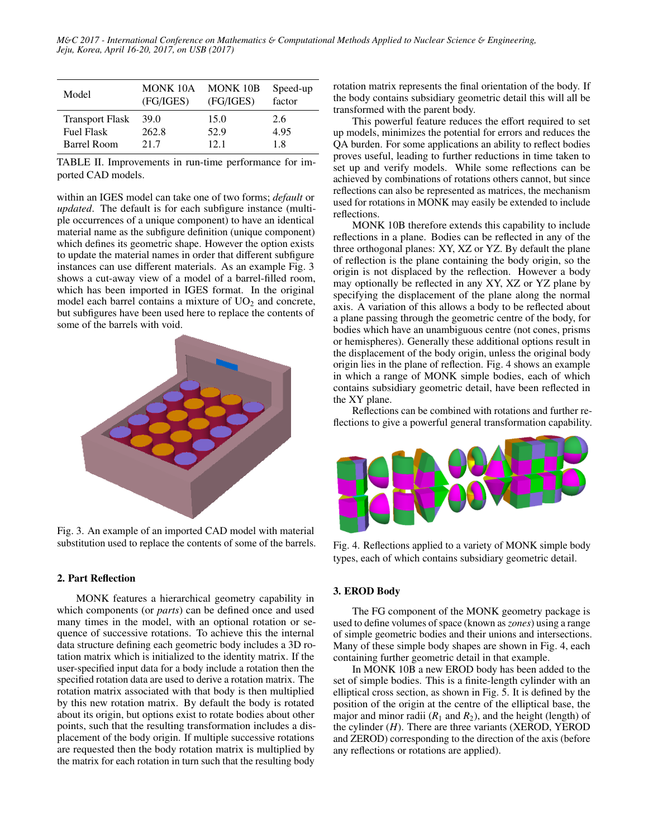| Model                  | MONK 10A<br>(FG/IGES) | <b>MONK 10B</b><br>(FG/IGES) | Speed-up<br>factor |
|------------------------|-----------------------|------------------------------|--------------------|
| <b>Transport Flask</b> | 39.0                  | 15.0                         | 2.6                |
| <b>Fuel Flask</b>      | 262.8                 | 52.9                         | 4.95               |
| Barrel Room            | 21.7                  | 121                          | 1.8                |

TABLE II. Improvements in run-time performance for imported CAD models.

within an IGES model can take one of two forms; *default* or *updated*. The default is for each subfigure instance (multiple occurrences of a unique component) to have an identical material name as the subfigure definition (unique component) which defines its geometric shape. However the option exists to update the material names in order that different subfigure instances can use different materials. As an example Fig. 3 shows a cut-away view of a model of a barrel-filled room, which has been imported in IGES format. In the original model each barrel contains a mixture of  $UO<sub>2</sub>$  and concrete, but subfigures have been used here to replace the contents of some of the barrels with void.



Fig. 3. An example of an imported CAD model with material substitution used to replace the contents of some of the barrels.

#### 2. Part Reflection

MONK features a hierarchical geometry capability in which components (or *parts*) can be defined once and used many times in the model, with an optional rotation or sequence of successive rotations. To achieve this the internal data structure defining each geometric body includes a 3D rotation matrix which is initialized to the identity matrix. If the user-specified input data for a body include a rotation then the specified rotation data are used to derive a rotation matrix. The rotation matrix associated with that body is then multiplied by this new rotation matrix. By default the body is rotated about its origin, but options exist to rotate bodies about other points, such that the resulting transformation includes a displacement of the body origin. If multiple successive rotations are requested then the body rotation matrix is multiplied by the matrix for each rotation in turn such that the resulting body

rotation matrix represents the final orientation of the body. If the body contains subsidiary geometric detail this will all be transformed with the parent body.

This powerful feature reduces the effort required to set up models, minimizes the potential for errors and reduces the QA burden. For some applications an ability to reflect bodies proves useful, leading to further reductions in time taken to set up and verify models. While some reflections can be achieved by combinations of rotations others cannot, but since reflections can also be represented as matrices, the mechanism used for rotations in MONK may easily be extended to include reflections.

MONK 10B therefore extends this capability to include reflections in a plane. Bodies can be reflected in any of the three orthogonal planes: XY, XZ or YZ. By default the plane of reflection is the plane containing the body origin, so the origin is not displaced by the reflection. However a body may optionally be reflected in any XY, XZ or YZ plane by specifying the displacement of the plane along the normal axis. A variation of this allows a body to be reflected about a plane passing through the geometric centre of the body, for bodies which have an unambiguous centre (not cones, prisms or hemispheres). Generally these additional options result in the displacement of the body origin, unless the original body origin lies in the plane of reflection. Fig. 4 shows an example in which a range of MONK simple bodies, each of which contains subsidiary geometric detail, have been reflected in the XY plane.

Reflections can be combined with rotations and further reflections to give a powerful general transformation capability.



Fig. 4. Reflections applied to a variety of MONK simple body types, each of which contains subsidiary geometric detail.

#### 3. EROD Body

The FG component of the MONK geometry package is used to define volumes of space (known as *zones*) using a range of simple geometric bodies and their unions and intersections. Many of these simple body shapes are shown in Fig. 4, each containing further geometric detail in that example.

In MONK 10B a new EROD body has been added to the set of simple bodies. This is a finite-length cylinder with an elliptical cross section, as shown in Fig. 5. It is defined by the position of the origin at the centre of the elliptical base, the major and minor radii  $(R_1 \text{ and } R_2)$ , and the height (length) of the cylinder (*H*). There are three variants (XEROD, YEROD and ZEROD) corresponding to the direction of the axis (before any reflections or rotations are applied).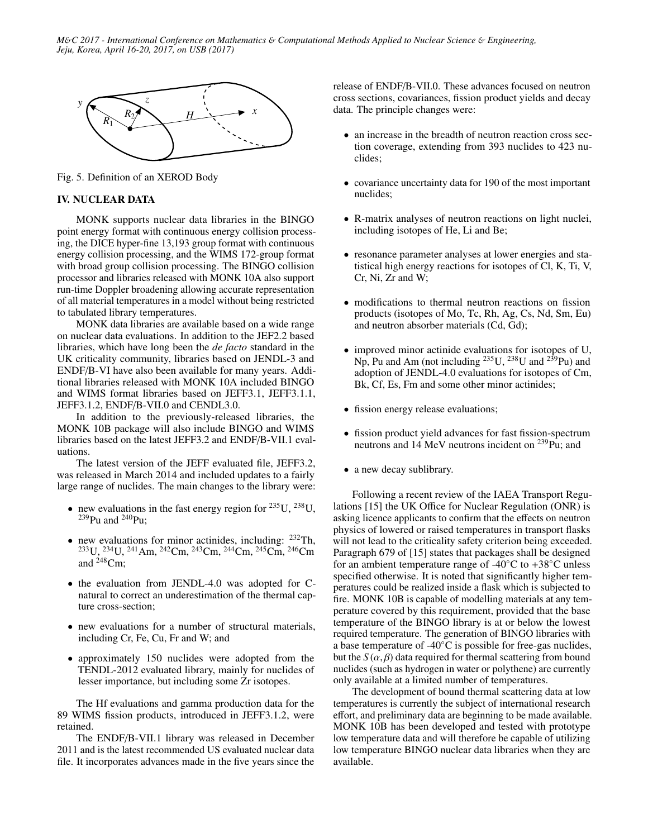

Fig. 5. Definition of an XEROD Body

### IV. NUCLEAR DATA

MONK supports nuclear data libraries in the BINGO point energy format with continuous energy collision processing, the DICE hyper-fine 13,193 group format with continuous energy collision processing, and the WIMS 172-group format with broad group collision processing. The BINGO collision processor and libraries released with MONK 10A also support run-time Doppler broadening allowing accurate representation of all material temperatures in a model without being restricted to tabulated library temperatures.

MONK data libraries are available based on a wide range on nuclear data evaluations. In addition to the JEF2.2 based libraries, which have long been the *de facto* standard in the UK criticality community, libraries based on JENDL-3 and ENDF/B-VI have also been available for many years. Additional libraries released with MONK 10A included BINGO and WIMS format libraries based on JEFF3.1, JEFF3.1.1, JEFF3.1.2, ENDF/B-VII.0 and CENDL3.0.

In addition to the previously-released libraries, the MONK 10B package will also include BINGO and WIMS libraries based on the latest JEFF3.2 and ENDF/B-VII.1 evaluations.

The latest version of the JEFF evaluated file, JEFF3.2, was released in March 2014 and included updates to a fairly large range of nuclides. The main changes to the library were:

- new evaluations in the fast energy region for  $^{235}$ U,  $^{238}$ U,  $^{239}$ Pu and  $^{240}$ Pu:
- new evaluations for minor actinides, including: <sup>232</sup>Th, <sup>233</sup>U, <sup>234</sup>U, <sup>241</sup>Am, <sup>242</sup>Cm, <sup>243</sup>Cm, <sup>244</sup>Cm, <sup>245</sup>Cm, <sup>246</sup>Cm and  $248$ Cm;
- the evaluation from JENDL-4.0 was adopted for Cnatural to correct an underestimation of the thermal capture cross-section;
- new evaluations for a number of structural materials, including Cr, Fe, Cu, Fr and W; and
- approximately 150 nuclides were adopted from the TENDL-2012 evaluated library, mainly for nuclides of lesser importance, but including some Zr isotopes.

The Hf evaluations and gamma production data for the 89 WIMS fission products, introduced in JEFF3.1.2, were retained.

The ENDF/B-VII.1 library was released in December 2011 and is the latest recommended US evaluated nuclear data file. It incorporates advances made in the five years since the release of ENDF/B-VII.0. These advances focused on neutron cross sections, covariances, fission product yields and decay data. The principle changes were:

- an increase in the breadth of neutron reaction cross section coverage, extending from 393 nuclides to 423 nuclides;
- covariance uncertainty data for 190 of the most important nuclides;
- R-matrix analyses of neutron reactions on light nuclei, including isotopes of He, Li and Be;
- resonance parameter analyses at lower energies and statistical high energy reactions for isotopes of Cl, K, Ti, V, Cr, Ni, Zr and W;
- modifications to thermal neutron reactions on fission products (isotopes of Mo, Tc, Rh, Ag, Cs, Nd, Sm, Eu) and neutron absorber materials (Cd, Gd);
- improved minor actinide evaluations for isotopes of U, Np, Pu and Am (not including  $^{235}$ U,  $^{238}$ U and  $^{239}$ Pu) and adoption of JENDL-4.0 evaluations for isotopes of Cm, Bk, Cf, Es, Fm and some other minor actinides;
- fission energy release evaluations;
- fission product yield advances for fast fission-spectrum neutrons and 14 MeV neutrons incident on <sup>239</sup>Pu; and
- a new decay sublibrary.

Following a recent review of the IAEA Transport Regulations [15] the UK Office for Nuclear Regulation (ONR) is asking licence applicants to confirm that the effects on neutron physics of lowered or raised temperatures in transport flasks will not lead to the criticality safety criterion being exceeded. Paragraph 679 of [15] states that packages shall be designed for an ambient temperature range of  $-40^{\circ}$ C to  $+38^{\circ}$ C unless specified otherwise. It is noted that significantly higher temperatures could be realized inside a flask which is subjected to fire. MONK 10B is capable of modelling materials at any temperature covered by this requirement, provided that the base temperature of the BINGO library is at or below the lowest required temperature. The generation of BINGO libraries with a base temperature of -40◦C is possible for free-gas nuclides, but the  $S(\alpha, \beta)$  data required for thermal scattering from bound nuclides (such as hydrogen in water or polythene) are currently only available at a limited number of temperatures.

The development of bound thermal scattering data at low temperatures is currently the subject of international research effort, and preliminary data are beginning to be made available. MONK 10B has been developed and tested with prototype low temperature data and will therefore be capable of utilizing low temperature BINGO nuclear data libraries when they are available.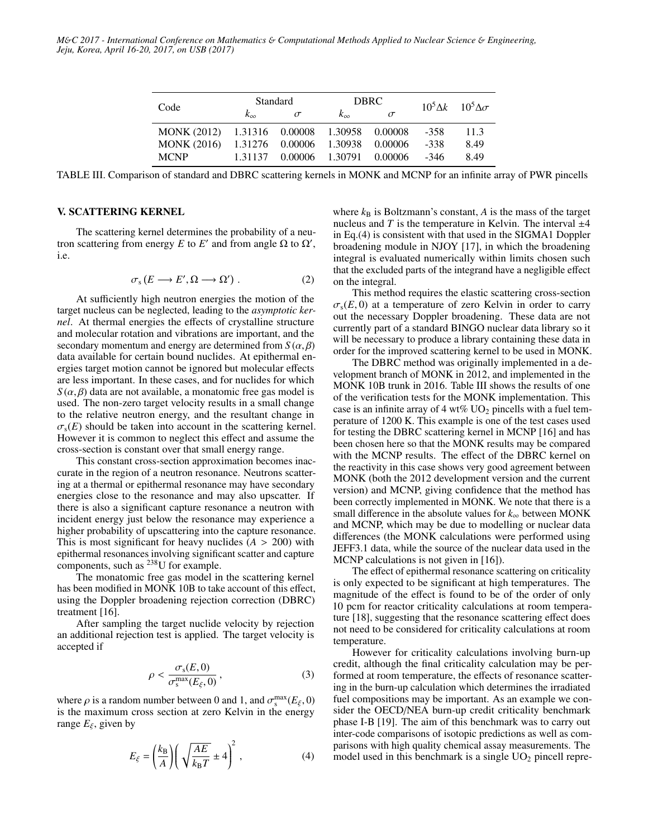| Code                                        | <b>Standard</b> |                                 | DBRC.                   |          |        | $10^5 \Delta k$ $10^5 \Delta \sigma$ |
|---------------------------------------------|-----------------|---------------------------------|-------------------------|----------|--------|--------------------------------------|
|                                             |                 | $\sigma$                        | $k_{\infty}$            | $\sigma$ |        |                                      |
| MONK (2012) 1.31316 0.00008 1.30958 0.00008 |                 |                                 |                         |          | -358   | 11.3                                 |
| <b>MONK</b> (2016)                          |                 | 1.31276 0.00006 1.30938 0.00006 |                         |          | $-338$ | 8.49                                 |
| <b>MCNP</b>                                 | 1.31137         |                                 | 0.00006 1.30791 0.00006 |          | -346   | 849                                  |

TABLE III. Comparison of standard and DBRC scattering kernels in MONK and MCNP for an infinite array of PWR pincells

#### V. SCATTERING KERNEL

The scattering kernel determines the probability of a neutron scattering from energy *E* to *E'* and from angle Ω to  $Ω'$ , i.e.

$$
\sigma_s(E \longrightarrow E', \Omega \longrightarrow \Omega') . \tag{2}
$$

At sufficiently high neutron energies the motion of the target nucleus can be neglected, leading to the *asymptotic kernel*. At thermal energies the effects of crystalline structure and molecular rotation and vibrations are important, and the secondary momentum and energy are determined from  $S(\alpha, \beta)$ data available for certain bound nuclides. At epithermal energies target motion cannot be ignored but molecular effects are less important. In these cases, and for nuclides for which  $S(\alpha, \beta)$  data are not available, a monatomic free gas model is used. The non-zero target velocity results in a small change to the relative neutron energy, and the resultant change in  $\sigma_s(E)$  should be taken into account in the scattering kernel. However it is common to neglect this effect and assume the cross-section is constant over that small energy range.

This constant cross-section approximation becomes inaccurate in the region of a neutron resonance. Neutrons scattering at a thermal or epithermal resonance may have secondary energies close to the resonance and may also upscatter. If there is also a significant capture resonance a neutron with incident energy just below the resonance may experience a higher probability of upscattering into the capture resonance. This is most significant for heavy nuclides  $(A > 200)$  with epithermal resonances involving significant scatter and capture components, such as <sup>238</sup>U for example.

The monatomic free gas model in the scattering kernel has been modified in MONK 10B to take account of this effect, using the Doppler broadening rejection correction (DBRC) treatment [16].

After sampling the target nuclide velocity by rejection an additional rejection test is applied. The target velocity is accepted if

$$
\rho < \frac{\sigma_s(E,0)}{\sigma_s^{\max}(E_\xi,0)},\tag{3}
$$

where  $\rho$  is a random number between 0 and 1, and  $\sigma_s^{\text{max}}(E_{\xi}, 0)$ <br>is the maximum cross section at zero Kelvin in the energy is the maximum cross section at zero Kelvin in the energy range  $E_{\xi}$ , given by

$$
E_{\xi} = \left(\frac{k_{\rm B}}{A}\right) \left(\sqrt{\frac{AE}{k_{\rm B}T}} \pm 4\right)^2, \tag{4}
$$

where  $k_B$  is Boltzmann's constant,  $A$  is the mass of the target nucleus and  $T$  is the temperature in Kelvin. The interval  $\pm 4$ in Eq.(4) is consistent with that used in the SIGMA1 Doppler broadening module in NJOY [17], in which the broadening integral is evaluated numerically within limits chosen such that the excluded parts of the integrand have a negligible effect on the integral.

This method requires the elastic scattering cross-section  $\sigma_s(E, 0)$  at a temperature of zero Kelvin in order to carry out the necessary Doppler broadening. These data are not currently part of a standard BINGO nuclear data library so it will be necessary to produce a library containing these data in order for the improved scattering kernel to be used in MONK.

The DBRC method was originally implemented in a development branch of MONK in 2012, and implemented in the MONK 10B trunk in 2016. Table III shows the results of one of the verification tests for the MONK implementation. This case is an infinite array of 4 wt%  $UO<sub>2</sub>$  pincells with a fuel temperature of 1200 K. This example is one of the test cases used for testing the DBRC scattering kernel in MCNP [16] and has been chosen here so that the MONK results may be compared with the MCNP results. The effect of the DBRC kernel on the reactivity in this case shows very good agreement between MONK (both the 2012 development version and the current version) and MCNP, giving confidence that the method has been correctly implemented in MONK. We note that there is a small difference in the absolute values for  $k_{\infty}$  between MONK and MCNP, which may be due to modelling or nuclear data differences (the MONK calculations were performed using JEFF3.1 data, while the source of the nuclear data used in the MCNP calculations is not given in [16]).

The effect of epithermal resonance scattering on criticality is only expected to be significant at high temperatures. The magnitude of the effect is found to be of the order of only 10 pcm for reactor criticality calculations at room temperature [18], suggesting that the resonance scattering effect does not need to be considered for criticality calculations at room temperature.

However for criticality calculations involving burn-up credit, although the final criticality calculation may be performed at room temperature, the effects of resonance scattering in the burn-up calculation which determines the irradiated fuel compositions may be important. As an example we consider the OECD/NEA burn-up credit criticality benchmark phase I-B [19]. The aim of this benchmark was to carry out inter-code comparisons of isotopic predictions as well as comparisons with high quality chemical assay measurements. The model used in this benchmark is a single  $UO<sub>2</sub>$  pincell repre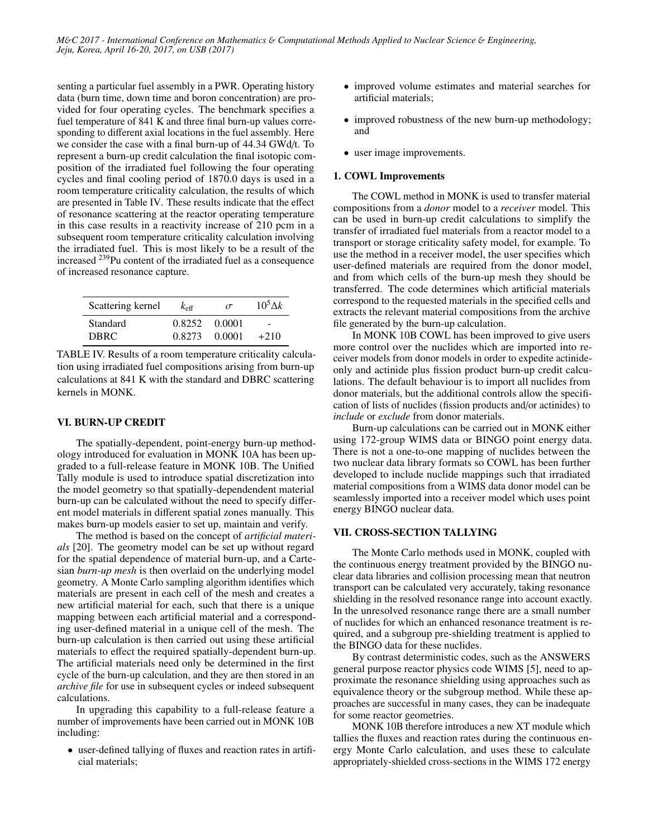senting a particular fuel assembly in a PWR. Operating history data (burn time, down time and boron concentration) are provided for four operating cycles. The benchmark specifies a fuel temperature of 841 K and three final burn-up values corresponding to different axial locations in the fuel assembly. Here we consider the case with a final burn-up of 44.34 GWd/t. To represent a burn-up credit calculation the final isotopic composition of the irradiated fuel following the four operating cycles and final cooling period of 1870.0 days is used in a room temperature criticality calculation, the results of which are presented in Table IV. These results indicate that the effect of resonance scattering at the reactor operating temperature in this case results in a reactivity increase of 210 pcm in a subsequent room temperature criticality calculation involving the irradiated fuel. This is most likely to be a result of the increased <sup>239</sup>Pu content of the irradiated fuel as a consequence of increased resonance capture.

| Scattering kernel | $k_{\text{eff}}$ | $\sigma$ | $10^5\Delta k$           |
|-------------------|------------------|----------|--------------------------|
| <b>Standard</b>   | 0.8252           | 0.0001   | $\overline{\phantom{0}}$ |
| DBRC.             | 0.8273           | 0.0001   | $+210$                   |

TABLE IV. Results of a room temperature criticality calculation using irradiated fuel compositions arising from burn-up calculations at 841 K with the standard and DBRC scattering kernels in MONK.

# VI. BURN-UP CREDIT

The spatially-dependent, point-energy burn-up methodology introduced for evaluation in MONK 10A has been upgraded to a full-release feature in MONK 10B. The Unified Tally module is used to introduce spatial discretization into the model geometry so that spatially-dependendent material burn-up can be calculated without the need to specify different model materials in different spatial zones manually. This makes burn-up models easier to set up, maintain and verify.

The method is based on the concept of *artificial materials* [20]. The geometry model can be set up without regard for the spatial dependence of material burn-up, and a Cartesian *burn-up mesh* is then overlaid on the underlying model geometry. A Monte Carlo sampling algorithm identifies which materials are present in each cell of the mesh and creates a new artificial material for each, such that there is a unique mapping between each artificial material and a corresponding user-defined material in a unique cell of the mesh. The burn-up calculation is then carried out using these artificial materials to effect the required spatially-dependent burn-up. The artificial materials need only be determined in the first cycle of the burn-up calculation, and they are then stored in an *archive file* for use in subsequent cycles or indeed subsequent calculations.

In upgrading this capability to a full-release feature a number of improvements have been carried out in MONK 10B including:

• user-defined tallying of fluxes and reaction rates in artificial materials;

- improved volume estimates and material searches for artificial materials;
- improved robustness of the new burn-up methodology; and
- user image improvements.

# 1. COWL Improvements

The COWL method in MONK is used to transfer material compositions from a *donor* model to a *receiver* model. This can be used in burn-up credit calculations to simplify the transfer of irradiated fuel materials from a reactor model to a transport or storage criticality safety model, for example. To use the method in a receiver model, the user specifies which user-defined materials are required from the donor model, and from which cells of the burn-up mesh they should be transferred. The code determines which artificial materials correspond to the requested materials in the specified cells and extracts the relevant material compositions from the archive file generated by the burn-up calculation.

In MONK 10B COWL has been improved to give users more control over the nuclides which are imported into receiver models from donor models in order to expedite actinideonly and actinide plus fission product burn-up credit calculations. The default behaviour is to import all nuclides from donor materials, but the additional controls allow the specification of lists of nuclides (fission products and/or actinides) to *include* or *exclude* from donor materials.

Burn-up calculations can be carried out in MONK either using 172-group WIMS data or BINGO point energy data. There is not a one-to-one mapping of nuclides between the two nuclear data library formats so COWL has been further developed to include nuclide mappings such that irradiated material compositions from a WIMS data donor model can be seamlessly imported into a receiver model which uses point energy BINGO nuclear data.

# VII. CROSS-SECTION TALLYING

The Monte Carlo methods used in MONK, coupled with the continuous energy treatment provided by the BINGO nuclear data libraries and collision processing mean that neutron transport can be calculated very accurately, taking resonance shielding in the resolved resonance range into account exactly. In the unresolved resonance range there are a small number of nuclides for which an enhanced resonance treatment is required, and a subgroup pre-shielding treatment is applied to the BINGO data for these nuclides.

By contrast deterministic codes, such as the ANSWERS general purpose reactor physics code WIMS [5], need to approximate the resonance shielding using approaches such as equivalence theory or the subgroup method. While these approaches are successful in many cases, they can be inadequate for some reactor geometries.

MONK 10B therefore introduces a new XT module which tallies the fluxes and reaction rates during the continuous energy Monte Carlo calculation, and uses these to calculate appropriately-shielded cross-sections in the WIMS 172 energy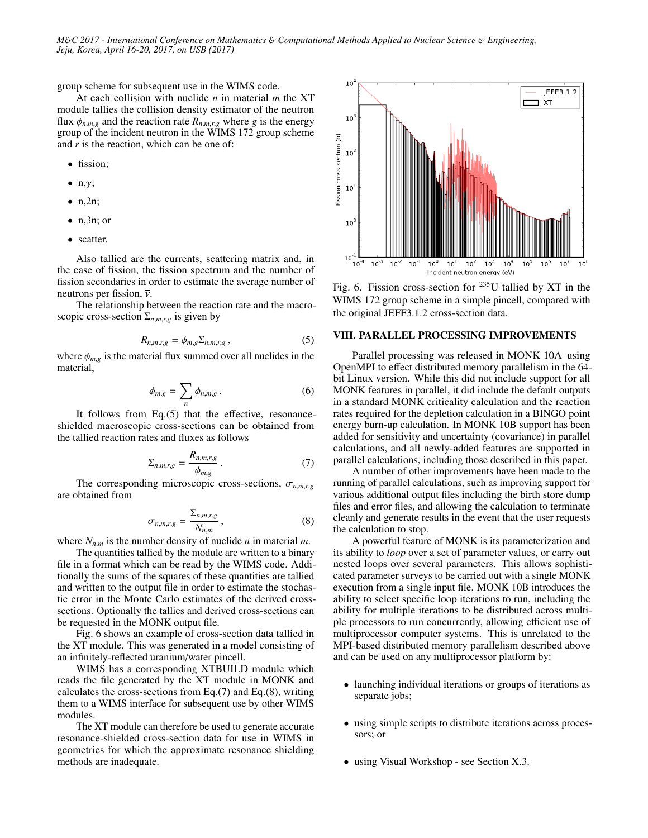group scheme for subsequent use in the WIMS code.

At each collision with nuclide *n* in material *m* the XT module tallies the collision density estimator of the neutron flux  $\phi_{n,m,g}$  and the reaction rate  $R_{n,m,r,g}$  where *g* is the energy group of the incident neutron in the WIMS 172 group scheme and *r* is the reaction, which can be one of:

- fission;
- $\bullet$  n,  $\gamma$ ;
- $\bullet$  n,2n;
- $\bullet$  n, 3n; or
- scatter.

Also tallied are the currents, scattering matrix and, in the case of fission, the fission spectrum and the number of fission secondaries in order to estimate the average number of neutrons per fission,  $\bar{v}$ .

The relationship between the reaction rate and the macroscopic cross-section  $\Sigma_{n,m,r,g}$  is given by

$$
R_{n,m,r,g} = \phi_{m,g} \Sigma_{n,m,r,g} , \qquad (5)
$$

where  $\phi_{m,g}$  is the material flux summed over all nuclides in the material material,

$$
\phi_{m,g} = \sum_{n} \phi_{n,m,g} . \tag{6}
$$

It follows from Eq.(5) that the effective, resonanceshielded macroscopic cross-sections can be obtained from the tallied reaction rates and fluxes as follows

$$
\Sigma_{n,m,r,g} = \frac{R_{n,m,r,g}}{\phi_{m,g}}.
$$
\n(7)

The corresponding microscopic cross-sections,  $\sigma_{n,m,r,g}$ <br>obtained from are obtained from

$$
\sigma_{n,m,r,g} = \frac{\Sigma_{n,m,r,g}}{N_{n,m}},
$$
\n(8)

where  $N_{n,m}$  is the number density of nuclide *n* in material *m*.<br>The quantities tallied by the module are written to a binary

The quantities tallied by the module are written to a binary file in a format which can be read by the WIMS code. Additionally the sums of the squares of these quantities are tallied and written to the output file in order to estimate the stochastic error in the Monte Carlo estimates of the derived crosssections. Optionally the tallies and derived cross-sections can be requested in the MONK output file.

Fig. 6 shows an example of cross-section data tallied in the XT module. This was generated in a model consisting of an infinitely-reflected uranium/water pincell.

WIMS has a corresponding XTBUILD module which reads the file generated by the XT module in MONK and calculates the cross-sections from Eq.(7) and Eq.(8), writing them to a WIMS interface for subsequent use by other WIMS modules.

The XT module can therefore be used to generate accurate resonance-shielded cross-section data for use in WIMS in geometries for which the approximate resonance shielding methods are inadequate.



Fig. 6. Fission cross-section for  $235$ U tallied by XT in the WIMS 172 group scheme in a simple pincell, compared with the original JEFF3.1.2 cross-section data.

### VIII. PARALLEL PROCESSING IMPROVEMENTS

Parallel processing was released in MONK 10A using OpenMPI to effect distributed memory parallelism in the 64 bit Linux version. While this did not include support for all MONK features in parallel, it did include the default outputs in a standard MONK criticality calculation and the reaction rates required for the depletion calculation in a BINGO point energy burn-up calculation. In MONK 10B support has been added for sensitivity and uncertainty (covariance) in parallel calculations, and all newly-added features are supported in parallel calculations, including those described in this paper.

A number of other improvements have been made to the running of parallel calculations, such as improving support for various additional output files including the birth store dump files and error files, and allowing the calculation to terminate cleanly and generate results in the event that the user requests the calculation to stop.

A powerful feature of MONK is its parameterization and its ability to *loop* over a set of parameter values, or carry out nested loops over several parameters. This allows sophisticated parameter surveys to be carried out with a single MONK execution from a single input file. MONK 10B introduces the ability to select specific loop iterations to run, including the ability for multiple iterations to be distributed across multiple processors to run concurrently, allowing efficient use of multiprocessor computer systems. This is unrelated to the MPI-based distributed memory parallelism described above and can be used on any multiprocessor platform by:

- launching individual iterations or groups of iterations as separate jobs;
- using simple scripts to distribute iterations across processors; or
- using Visual Workshop see Section X.3.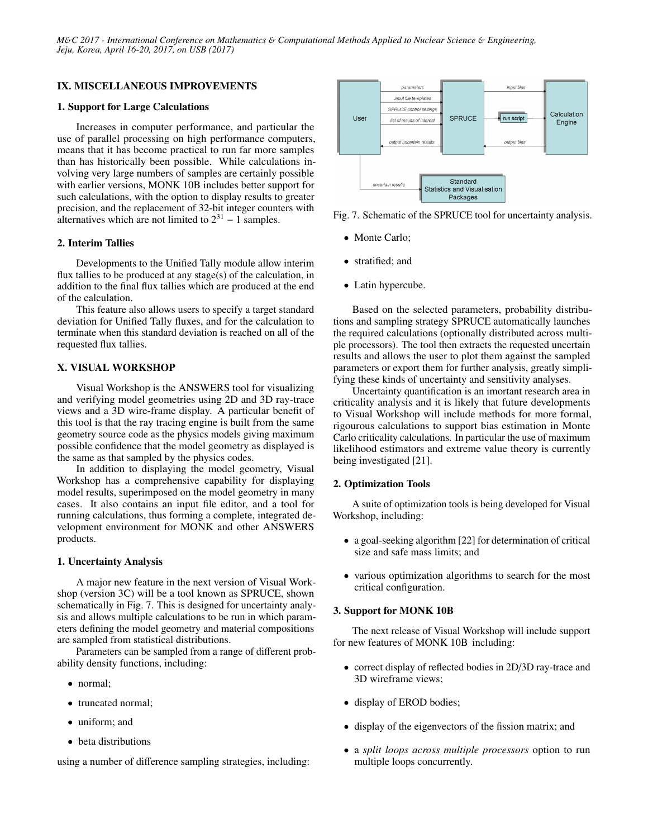# IX. MISCELLANEOUS IMPROVEMENTS

### 1. Support for Large Calculations

Increases in computer performance, and particular the use of parallel processing on high performance computers, means that it has become practical to run far more samples than has historically been possible. While calculations involving very large numbers of samples are certainly possible with earlier versions, MONK 10B includes better support for such calculations, with the option to display results to greater precision, and the replacement of 32-bit integer counters with alternatives which are not limited to  $2^{31} - 1$  samples.

### 2. Interim Tallies

Developments to the Unified Tally module allow interim flux tallies to be produced at any stage(s) of the calculation, in addition to the final flux tallies which are produced at the end of the calculation.

This feature also allows users to specify a target standard deviation for Unified Tally fluxes, and for the calculation to terminate when this standard deviation is reached on all of the requested flux tallies.

# X. VISUAL WORKSHOP

Visual Workshop is the ANSWERS tool for visualizing and verifying model geometries using 2D and 3D ray-trace views and a 3D wire-frame display. A particular benefit of this tool is that the ray tracing engine is built from the same geometry source code as the physics models giving maximum possible confidence that the model geometry as displayed is the same as that sampled by the physics codes.

In addition to displaying the model geometry, Visual Workshop has a comprehensive capability for displaying model results, superimposed on the model geometry in many cases. It also contains an input file editor, and a tool for running calculations, thus forming a complete, integrated development environment for MONK and other ANSWERS products.

#### 1. Uncertainty Analysis

A major new feature in the next version of Visual Workshop (version 3C) will be a tool known as SPRUCE, shown schematically in Fig. 7. This is designed for uncertainty analysis and allows multiple calculations to be run in which parameters defining the model geometry and material compositions are sampled from statistical distributions.

Parameters can be sampled from a range of different probability density functions, including:

- normal;
- truncated normal;
- uniform; and
- beta distributions

using a number of difference sampling strategies, including:



Fig. 7. Schematic of the SPRUCE tool for uncertainty analysis.

- Monte Carlo;
- stratified; and
- Latin hypercube.

Based on the selected parameters, probability distributions and sampling strategy SPRUCE automatically launches the required calculations (optionally distributed across multiple processors). The tool then extracts the requested uncertain results and allows the user to plot them against the sampled parameters or export them for further analysis, greatly simplifying these kinds of uncertainty and sensitivity analyses.

Uncertainty quantification is an imortant research area in criticality analysis and it is likely that future developments to Visual Workshop will include methods for more formal, rigourous calculations to support bias estimation in Monte Carlo criticality calculations. In particular the use of maximum likelihood estimators and extreme value theory is currently being investigated [21].

#### 2. Optimization Tools

A suite of optimization tools is being developed for Visual Workshop, including:

- a goal-seeking algorithm [22] for determination of critical size and safe mass limits; and
- various optimization algorithms to search for the most critical configuration.

#### 3. Support for MONK 10B

The next release of Visual Workshop will include support for new features of MONK 10B including:

- correct display of reflected bodies in 2D/3D ray-trace and 3D wireframe views;
- display of EROD bodies;
- display of the eigenvectors of the fission matrix; and
- a *split loops across multiple processors* option to run multiple loops concurrently.